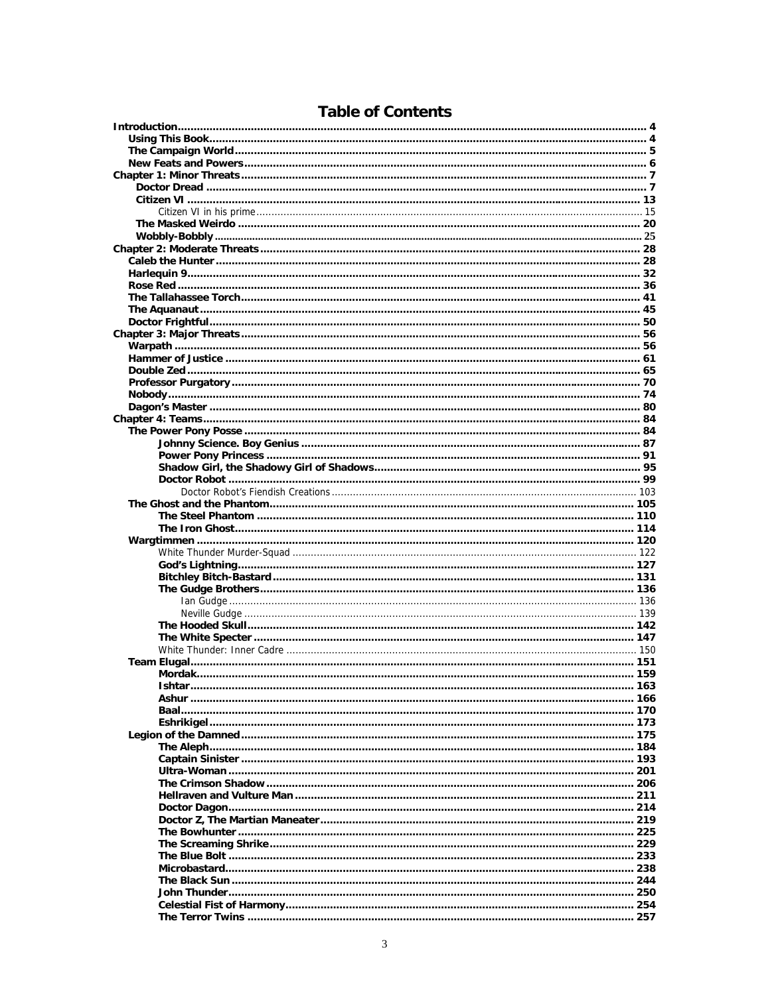| Ishtar. | 163 |
|---------|-----|
|         |     |
|         |     |
|         |     |
|         |     |
|         |     |
|         |     |
|         |     |
|         |     |
|         |     |
|         |     |
|         |     |
|         |     |
|         |     |
|         |     |
|         |     |
|         |     |
|         |     |
|         |     |
|         |     |
|         |     |
|         |     |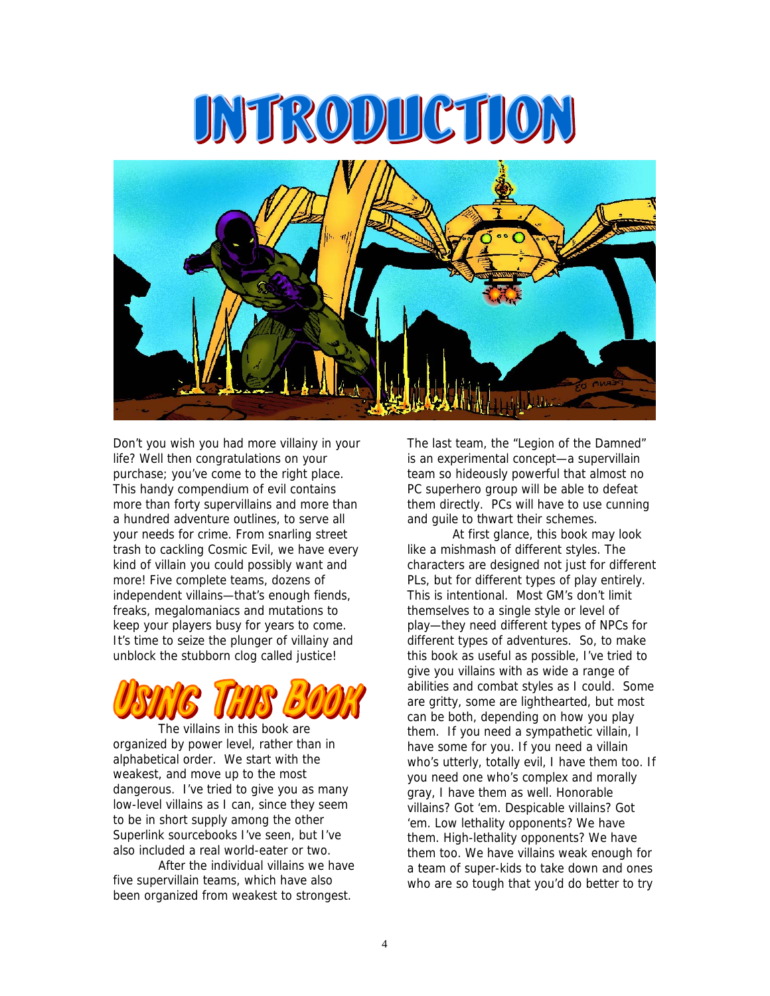



Don't you wish you had more villainy in your life? Well then congratulations on your purchase; you've come to the right place. This handy compendium of evil contains more than forty supervillains and more than a hundred adventure outlines, to serve all your needs for crime. From snarling street trash to cackling Cosmic Evil, we have every kind of villain you could possibly want and more! Five complete teams, dozens of independent villains—that's enough fiends, freaks, megalomaniacs and mutations to keep your players busy for years to come. It's time to seize the plunger of villainy and unblock the stubborn clog called justice!



The villains in this book are organized by power level, rather than in alphabetical order. We start with the weakest, and move up to the most dangerous. I've tried to give you as many low-level villains as I can, since they seem to be in short supply among the other Superlink sourcebooks I've seen, but I've also included a real world-eater or two.

After the individual villains we have five supervillain teams, which have also been organized from weakest to strongest.

The last team, the "Legion of the Damned" is an experimental concept—a supervillain team so hideously powerful that almost no PC superhero group will be able to defeat them directly. PCs will have to use cunning and guile to thwart their schemes.

At first glance, this book may look like a mishmash of different styles. The characters are designed not just for different PLs, but for different types of play entirely. This is intentional. Most GM's don't limit themselves to a single style or level of play—they need different types of NPCs for different types of adventures. So, to make this book as useful as possible, I've tried to give you villains with as wide a range of abilities and combat styles as I could. Some are gritty, some are lighthearted, but most can be both, depending on how you play them. If you need a sympathetic villain, I have some for you. If you need a villain who's utterly, totally evil, I have them too. If you need one who's complex and morally gray, I have them as well. Honorable villains? Got 'em. Despicable villains? Got 'em. Low lethality opponents? We have them. High-lethality opponents? We have them too. We have villains weak enough for a team of super-kids to take down and ones who are so tough that you'd do better to try